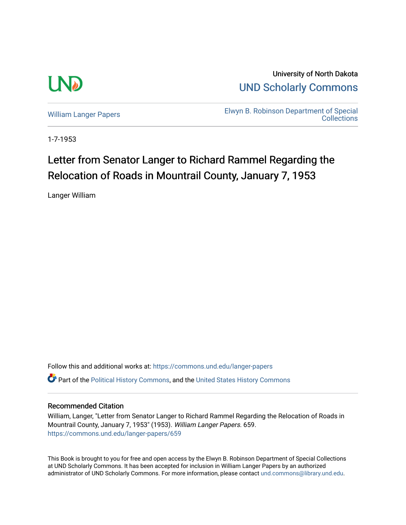

University of North Dakota [UND Scholarly Commons](https://commons.und.edu/) 

[William Langer Papers](https://commons.und.edu/langer-papers) **Elwyn B. Robinson Department of Special** [Collections](https://commons.und.edu/archives) 

1-7-1953

## Letter from Senator Langer to Richard Rammel Regarding the Relocation of Roads in Mountrail County, January 7, 1953

Langer William

Follow this and additional works at: [https://commons.und.edu/langer-papers](https://commons.und.edu/langer-papers?utm_source=commons.und.edu%2Flanger-papers%2F659&utm_medium=PDF&utm_campaign=PDFCoverPages)  **C** Part of the [Political History Commons,](https://network.bepress.com/hgg/discipline/505?utm_source=commons.und.edu%2Flanger-papers%2F659&utm_medium=PDF&utm_campaign=PDFCoverPages) and the [United States History Commons](https://network.bepress.com/hgg/discipline/495?utm_source=commons.und.edu%2Flanger-papers%2F659&utm_medium=PDF&utm_campaign=PDFCoverPages)

## Recommended Citation

William, Langer, "Letter from Senator Langer to Richard Rammel Regarding the Relocation of Roads in Mountrail County, January 7, 1953" (1953). William Langer Papers. 659. [https://commons.und.edu/langer-papers/659](https://commons.und.edu/langer-papers/659?utm_source=commons.und.edu%2Flanger-papers%2F659&utm_medium=PDF&utm_campaign=PDFCoverPages) 

This Book is brought to you for free and open access by the Elwyn B. Robinson Department of Special Collections at UND Scholarly Commons. It has been accepted for inclusion in William Langer Papers by an authorized administrator of UND Scholarly Commons. For more information, please contact [und.commons@library.und.edu.](mailto:und.commons@library.und.edu)